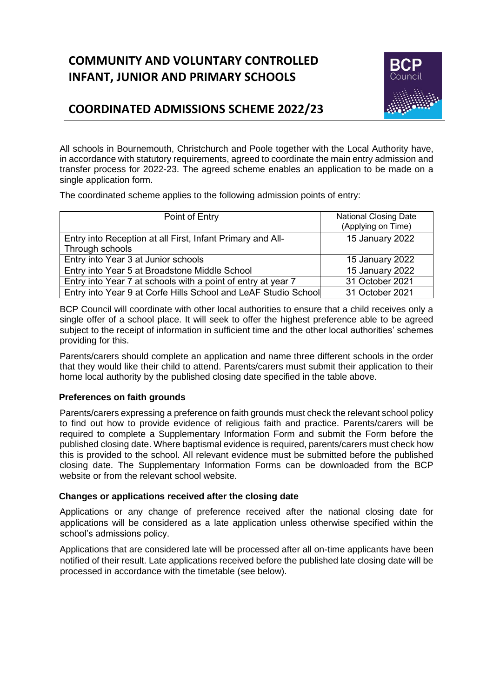# **COMMUNITY AND VOLUNTARY CONTROLLED INFANT, JUNIOR AND PRIMARY SCHOOLS**



## **COORDINATED ADMISSIONS SCHEME 2022/23**

All schools in Bournemouth, Christchurch and Poole together with the Local Authority have, in accordance with statutory requirements, agreed to coordinate the main entry admission and transfer process for 2022-23. The agreed scheme enables an application to be made on a single application form.

The coordinated scheme applies to the following admission points of entry:

| Point of Entry                                                 | <b>National Closing Date</b><br>(Applying on Time) |
|----------------------------------------------------------------|----------------------------------------------------|
| Entry into Reception at all First, Infant Primary and All-     | 15 January 2022                                    |
| Through schools                                                |                                                    |
| Entry into Year 3 at Junior schools                            | 15 January 2022                                    |
| Entry into Year 5 at Broadstone Middle School                  | 15 January 2022                                    |
| Entry into Year 7 at schools with a point of entry at year 7   | 31 October 2021                                    |
| Entry into Year 9 at Corfe Hills School and LeAF Studio School | 31 October 2021                                    |

BCP Council will coordinate with other local authorities to ensure that a child receives only a single offer of a school place. It will seek to offer the highest preference able to be agreed subject to the receipt of information in sufficient time and the other local authorities' schemes providing for this.

Parents/carers should complete an application and name three different schools in the order that they would like their child to attend. Parents/carers must submit their application to their home local authority by the published closing date specified in the table above.

#### **Preferences on faith grounds**

Parents/carers expressing a preference on faith grounds must check the relevant school policy to find out how to provide evidence of religious faith and practice. Parents/carers will be required to complete a Supplementary Information Form and submit the Form before the published closing date. Where baptismal evidence is required, parents/carers must check how this is provided to the school. All relevant evidence must be submitted before the published closing date. The Supplementary Information Forms can be downloaded from the BCP website or from the relevant school website.

#### **Changes or applications received after the closing date**

Applications or any change of preference received after the national closing date for applications will be considered as a late application unless otherwise specified within the school's admissions policy.

Applications that are considered late will be processed after all on-time applicants have been notified of their result. Late applications received before the published late closing date will be processed in accordance with the timetable (see below).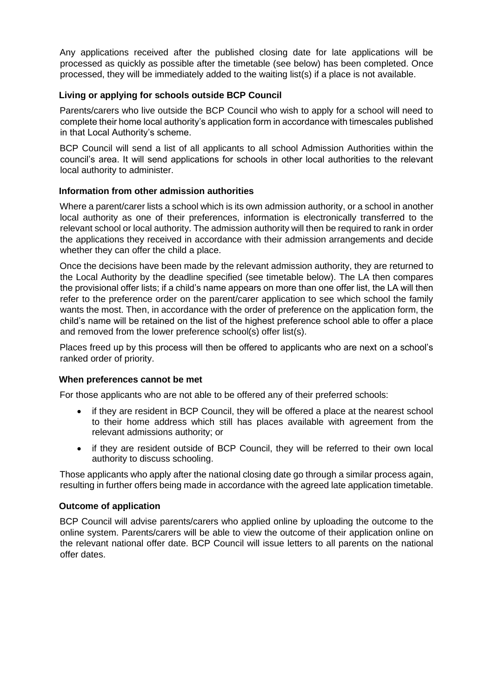Any applications received after the published closing date for late applications will be processed as quickly as possible after the timetable (see below) has been completed. Once processed, they will be immediately added to the waiting list(s) if a place is not available.

#### **Living or applying for schools outside BCP Council**

Parents/carers who live outside the BCP Council who wish to apply for a school will need to complete their home local authority's application form in accordance with timescales published in that Local Authority's scheme.

BCP Council will send a list of all applicants to all school Admission Authorities within the council's area. It will send applications for schools in other local authorities to the relevant local authority to administer.

#### **Information from other admission authorities**

Where a parent/carer lists a school which is its own admission authority, or a school in another local authority as one of their preferences, information is electronically transferred to the relevant school or local authority. The admission authority will then be required to rank in order the applications they received in accordance with their admission arrangements and decide whether they can offer the child a place.

Once the decisions have been made by the relevant admission authority, they are returned to the Local Authority by the deadline specified (see timetable below). The LA then compares the provisional offer lists; if a child's name appears on more than one offer list, the LA will then refer to the preference order on the parent/carer application to see which school the family wants the most. Then, in accordance with the order of preference on the application form, the child's name will be retained on the list of the highest preference school able to offer a place and removed from the lower preference school(s) offer list(s).

Places freed up by this process will then be offered to applicants who are next on a school's ranked order of priority.

#### **When preferences cannot be met**

For those applicants who are not able to be offered any of their preferred schools:

- if they are resident in BCP Council, they will be offered a place at the nearest school to their home address which still has places available with agreement from the relevant admissions authority; or
- if they are resident outside of BCP Council, they will be referred to their own local authority to discuss schooling.

Those applicants who apply after the national closing date go through a similar process again, resulting in further offers being made in accordance with the agreed late application timetable.

#### **Outcome of application**

BCP Council will advise parents/carers who applied online by uploading the outcome to the online system. Parents/carers will be able to view the outcome of their application online on the relevant national offer date. BCP Council will issue letters to all parents on the national offer dates.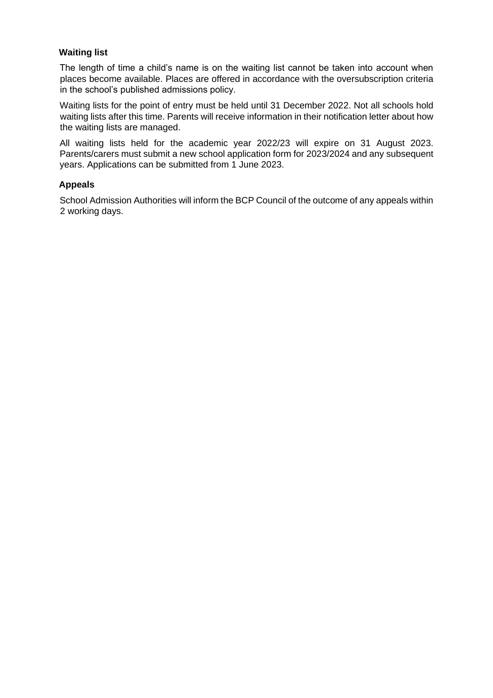#### **Waiting list**

The length of time a child's name is on the waiting list cannot be taken into account when places become available. Places are offered in accordance with the oversubscription criteria in the school's published admissions policy.

Waiting lists for the point of entry must be held until 31 December 2022. Not all schools hold waiting lists after this time. Parents will receive information in their notification letter about how the waiting lists are managed.

All waiting lists held for the academic year 2022/23 will expire on 31 August 2023. Parents/carers must submit a new school application form for 2023/2024 and any subsequent years. Applications can be submitted from 1 June 2023.

#### **Appeals**

School Admission Authorities will inform the BCP Council of the outcome of any appeals within 2 working days.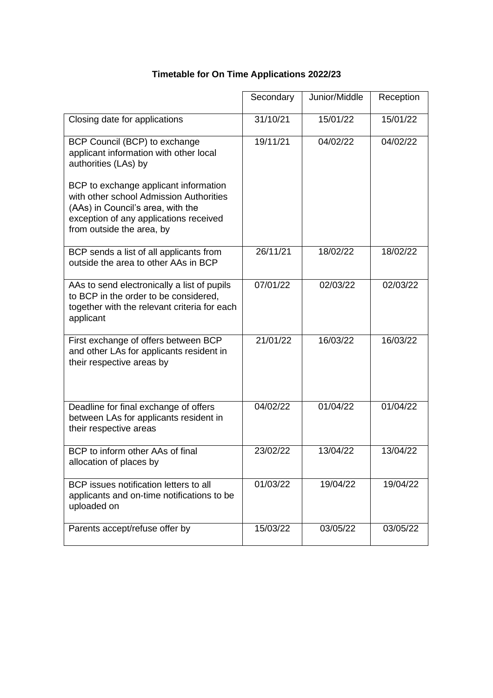|                                                                                                                                                                                                                                                                                                 | Secondary | Junior/Middle | Reception |
|-------------------------------------------------------------------------------------------------------------------------------------------------------------------------------------------------------------------------------------------------------------------------------------------------|-----------|---------------|-----------|
| Closing date for applications                                                                                                                                                                                                                                                                   | 31/10/21  | 15/01/22      | 15/01/22  |
| BCP Council (BCP) to exchange<br>applicant information with other local<br>authorities (LAs) by<br>BCP to exchange applicant information<br>with other school Admission Authorities<br>(AAs) in Council's area, with the<br>exception of any applications received<br>from outside the area, by | 19/11/21  | 04/02/22      | 04/02/22  |
| BCP sends a list of all applicants from<br>outside the area to other AAs in BCP                                                                                                                                                                                                                 | 26/11/21  | 18/02/22      | 18/02/22  |
| AAs to send electronically a list of pupils<br>to BCP in the order to be considered,<br>together with the relevant criteria for each<br>applicant                                                                                                                                               | 07/01/22  | 02/03/22      | 02/03/22  |
| First exchange of offers between BCP<br>and other LAs for applicants resident in<br>their respective areas by                                                                                                                                                                                   | 21/01/22  | 16/03/22      | 16/03/22  |
| Deadline for final exchange of offers<br>between LAs for applicants resident in<br>their respective areas                                                                                                                                                                                       | 04/02/22  | 01/04/22      | 01/04/22  |
| BCP to inform other AAs of final<br>allocation of places by                                                                                                                                                                                                                                     | 23/02/22  | 13/04/22      | 13/04/22  |
| BCP issues notification letters to all<br>applicants and on-time notifications to be<br>uploaded on                                                                                                                                                                                             | 01/03/22  | 19/04/22      | 19/04/22  |
| Parents accept/refuse offer by                                                                                                                                                                                                                                                                  | 15/03/22  | 03/05/22      | 03/05/22  |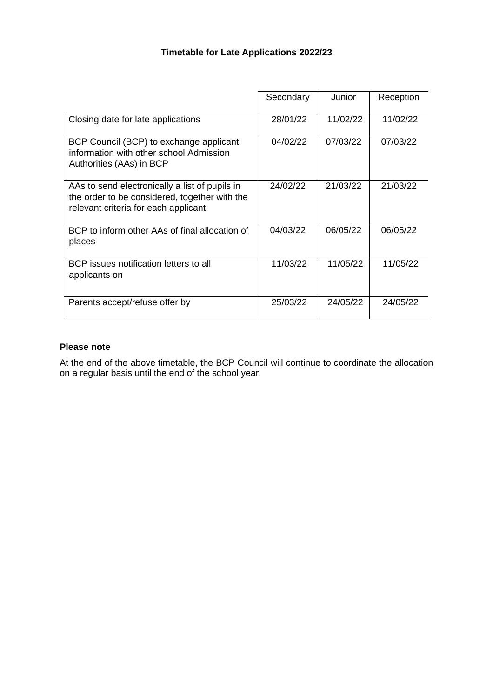### **Timetable for Late Applications 2022/23**

|                                                                                                                                         | Secondary | Junior   | Reception |
|-----------------------------------------------------------------------------------------------------------------------------------------|-----------|----------|-----------|
| Closing date for late applications                                                                                                      | 28/01/22  | 11/02/22 | 11/02/22  |
| BCP Council (BCP) to exchange applicant<br>information with other school Admission<br>Authorities (AAs) in BCP                          | 04/02/22  | 07/03/22 | 07/03/22  |
| AAs to send electronically a list of pupils in<br>the order to be considered, together with the<br>relevant criteria for each applicant | 24/02/22  | 21/03/22 | 21/03/22  |
| BCP to inform other AAs of final allocation of<br>places                                                                                | 04/03/22  | 06/05/22 | 06/05/22  |
| BCP issues notification letters to all<br>applicants on                                                                                 | 11/03/22  | 11/05/22 | 11/05/22  |
| Parents accept/refuse offer by                                                                                                          | 25/03/22  | 24/05/22 | 24/05/22  |

#### **Please note**

At the end of the above timetable, the BCP Council will continue to coordinate the allocation on a regular basis until the end of the school year.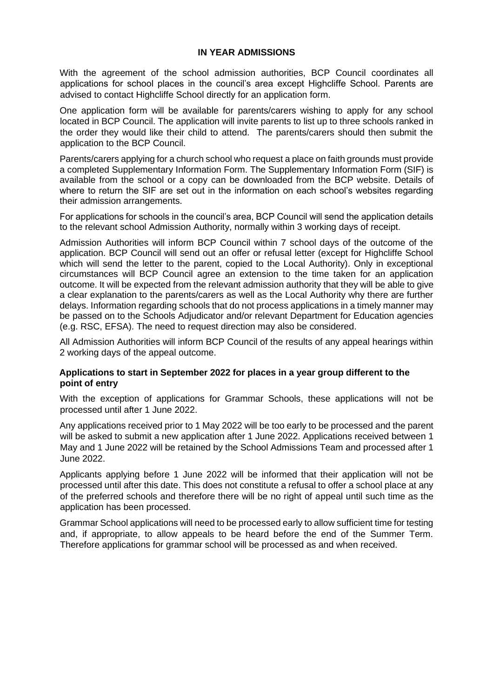#### **IN YEAR ADMISSIONS**

With the agreement of the school admission authorities, BCP Council coordinates all applications for school places in the council's area except Highcliffe School. Parents are advised to contact Highcliffe School directly for an application form.

One application form will be available for parents/carers wishing to apply for any school located in BCP Council. The application will invite parents to list up to three schools ranked in the order they would like their child to attend. The parents/carers should then submit the application to the BCP Council.

Parents/carers applying for a church school who request a place on faith grounds must provide a completed Supplementary Information Form. The Supplementary Information Form (SIF) is available from the school or a copy can be downloaded from the BCP website. Details of where to return the SIF are set out in the information on each school's websites regarding their admission arrangements.

For applications for schools in the council's area, BCP Council will send the application details to the relevant school Admission Authority, normally within 3 working days of receipt.

Admission Authorities will inform BCP Council within 7 school days of the outcome of the application. BCP Council will send out an offer or refusal letter (except for Highcliffe School which will send the letter to the parent, copied to the Local Authority). Only in exceptional circumstances will BCP Council agree an extension to the time taken for an application outcome. It will be expected from the relevant admission authority that they will be able to give a clear explanation to the parents/carers as well as the Local Authority why there are further delays. Information regarding schools that do not process applications in a timely manner may be passed on to the Schools Adjudicator and/or relevant Department for Education agencies (e.g. RSC, EFSA). The need to request direction may also be considered.

All Admission Authorities will inform BCP Council of the results of any appeal hearings within 2 working days of the appeal outcome.

#### **Applications to start in September 2022 for places in a year group different to the point of entry**

With the exception of applications for Grammar Schools, these applications will not be processed until after 1 June 2022.

Any applications received prior to 1 May 2022 will be too early to be processed and the parent will be asked to submit a new application after 1 June 2022. Applications received between 1 May and 1 June 2022 will be retained by the School Admissions Team and processed after 1 June 2022.

Applicants applying before 1 June 2022 will be informed that their application will not be processed until after this date. This does not constitute a refusal to offer a school place at any of the preferred schools and therefore there will be no right of appeal until such time as the application has been processed.

Grammar School applications will need to be processed early to allow sufficient time for testing and, if appropriate, to allow appeals to be heard before the end of the Summer Term. Therefore applications for grammar school will be processed as and when received.